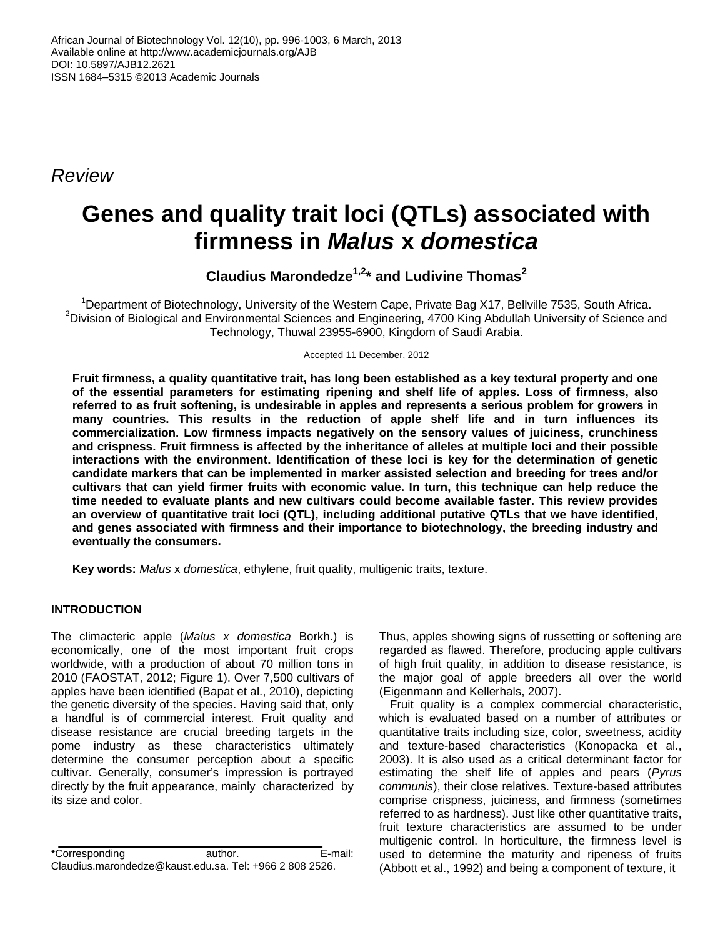*Review*

# **Genes and quality trait loci (QTLs) associated with firmness in** *Malus* **x** *domestica*

**Claudius Marondedze1,2\* and Ludivine Thomas<sup>2</sup>**

<sup>1</sup>Department of Biotechnology, University of the Western Cape, Private Bag X17, Bellville 7535, South Africa. <sup>2</sup>Division of Biological and Environmental Sciences and Engineering, 4700 King Abdullah University of Science and Technology, Thuwal 23955-6900, Kingdom of Saudi Arabia.

Accepted 11 December, 2012

**Fruit firmness, a quality quantitative trait, has long been established as a key textural property and one of the essential parameters for estimating ripening and shelf life of apples. Loss of firmness, also referred to as fruit softening, is undesirable in apples and represents a serious problem for growers in many countries. This results in the reduction of apple shelf life and in turn influences its commercialization. Low firmness impacts negatively on the sensory values of juiciness, crunchiness and crispness. Fruit firmness is affected by the inheritance of alleles at multiple loci and their possible interactions with the environment. Identification of these loci is key for the determination of genetic candidate markers that can be implemented in marker assisted selection and breeding for trees and/or cultivars that can yield firmer fruits with economic value. In turn, this technique can help reduce the time needed to evaluate plants and new cultivars could become available faster. This review provides an overview of quantitative trait loci (QTL), including additional putative QTLs that we have identified, and genes associated with firmness and their importance to biotechnology, the breeding industry and eventually the consumers.**

**Key words:** *Malus* x *domestica*, ethylene, fruit quality, multigenic traits, texture.

# **INTRODUCTION**

The climacteric apple (*Malus x domestica* Borkh.) is economically, one of the most important fruit crops worldwide, with a production of about 70 million tons in 2010 (FAOSTAT, 2012; Figure 1). Over 7,500 cultivars of apples have been identified (Bapat et al., 2010), depicting the genetic diversity of the species. Having said that, only a handful is of commercial interest. Fruit quality and disease resistance are crucial breeding targets in the pome industry as these characteristics ultimately determine the consumer perception about a specific cultivar. Generally, consumer's impression is portrayed directly by the fruit appearance, mainly characterized by its size and color.

**\***Corresponding author. E-mail: Claudius.marondedze@kaust.edu.sa. Tel: +966 2 808 2526.

Thus, apples showing signs of russetting or softening are regarded as flawed. Therefore, producing apple cultivars of high fruit quality, in addition to disease resistance, is the major goal of apple breeders all over the world (Eigenmann and Kellerhals, 2007).

Fruit quality is a complex commercial characteristic, which is evaluated based on a number of attributes or quantitative traits including size, color, sweetness, acidity and texture-based characteristics (Konopacka et al., 2003). It is also used as a critical determinant factor for estimating the shelf life of apples and pears (*Pyrus communis*), their close relatives. Texture-based attributes comprise crispness, juiciness, and firmness (sometimes referred to as hardness). Just like other quantitative traits, fruit texture characteristics are assumed to be under multigenic control. In horticulture, the firmness level is used to determine the maturity and ripeness of fruits (Abbott et al., 1992) and being a component of texture, it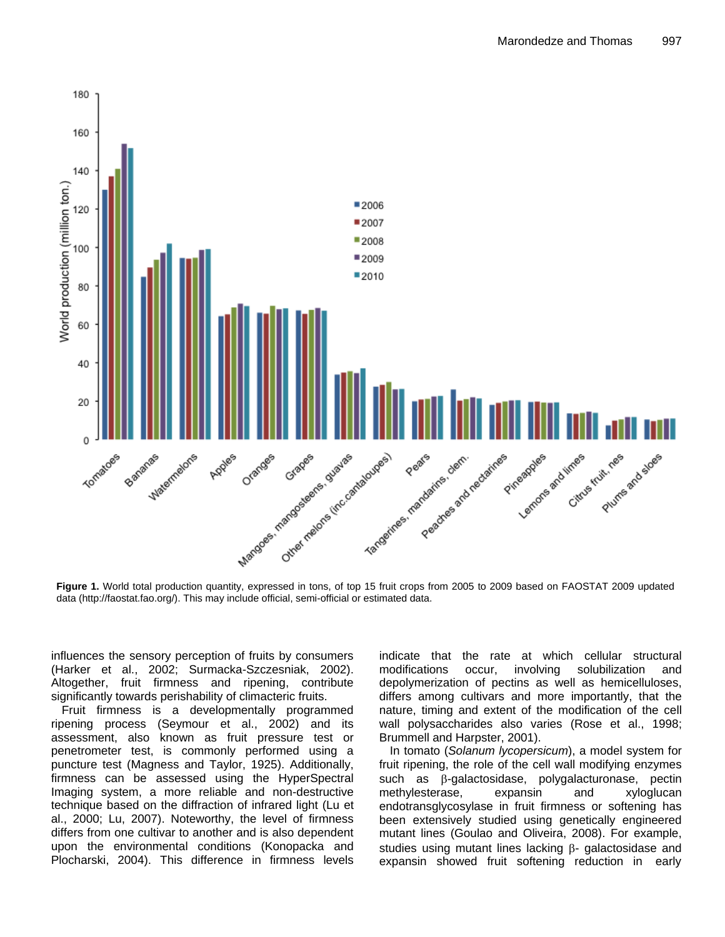

data (http://faostat.fao.org/). This may include official, semi-official or estimated data.

influences the sensory perception of fruits by consumers (Harker et al., 2002; Surmacka-Szczesniak, 2002). Altogether, fruit firmness and ripening, contribute significantly towards perishability of climacteric fruits.

Fruit firmness is a developmentally programmed ripening process (Seymour et al., 2002) and its assessment, also known as fruit pressure test or penetrometer test, is commonly performed using a puncture test (Magness and Taylor, 1925). Additionally, firmness can be assessed using the HyperSpectral Imaging system, a more reliable and non-destructive technique based on the diffraction of infrared light (Lu et al., 2000; Lu, 2007). Noteworthy, the level of firmness differs from one cultivar to another and is also dependent upon the environmental conditions (Konopacka and Plocharski, 2004). This difference in firmness levels

indicate that the rate at which cellular structural modifications occur, involving solubilization and depolymerization of pectins as well as hemicelluloses, differs among cultivars and more importantly, that the nature, timing and extent of the modification of the cell wall polysaccharides also varies (Rose et al., 1998; Brummell and Harpster, 2001).

In tomato (*Solanum lycopersicum*), a model system for fruit ripening, the role of the cell wall modifying enzymes such as  $\beta$ -galactosidase, polygalacturonase, pectin methylesterase, expansin and xyloglucan endotransglycosylase in fruit firmness or softening has been extensively studied using genetically engineered mutant lines (Goulao and Oliveira, 2008). For example, studies using mutant lines lacking  $\beta$ - galactosidase and expansin showed fruit softening reduction in early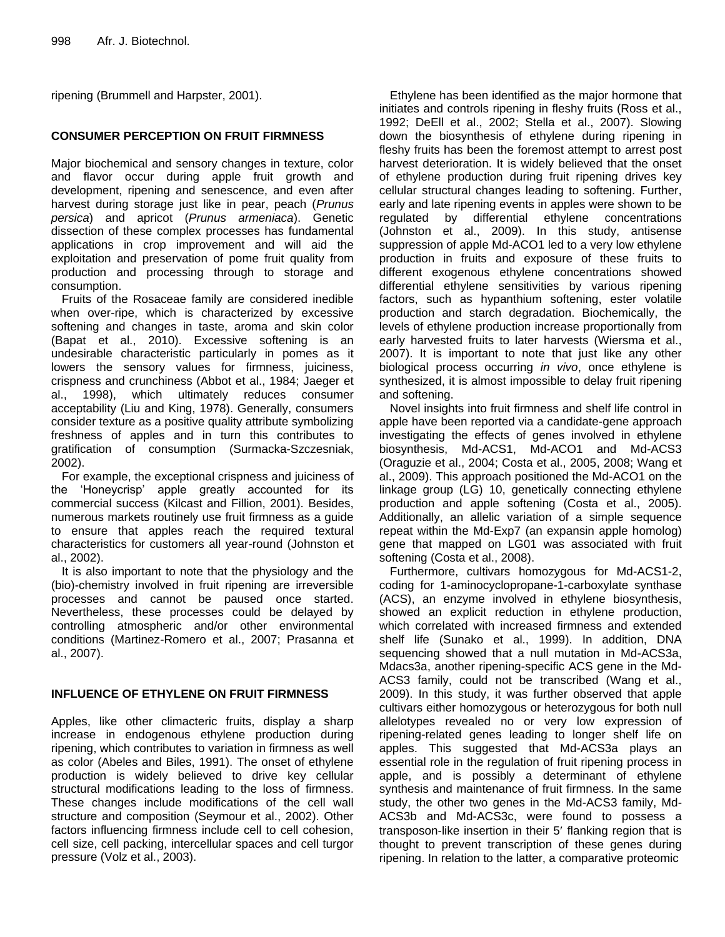ripening (Brummell and Harpster, 2001).

# **CONSUMER PERCEPTION ON FRUIT FIRMNESS**

Major biochemical and sensory changes in texture, color and flavor occur during apple fruit growth and development, ripening and senescence, and even after harvest during storage just like in pear, peach (*Prunus persica*) and apricot (*Prunus armeniaca*). Genetic dissection of these complex processes has fundamental applications in crop improvement and will aid the exploitation and preservation of pome fruit quality from production and processing through to storage and consumption.

Fruits of the Rosaceae family are considered inedible when over-ripe, which is characterized by excessive softening and changes in taste, aroma and skin color (Bapat et al., 2010). Excessive softening is an undesirable characteristic particularly in pomes as it lowers the sensory values for firmness, juiciness, crispness and crunchiness (Abbot et al., 1984; Jaeger et al., 1998), which ultimately reduces consumer acceptability (Liu and King, 1978). Generally, consumers consider texture as a positive quality attribute symbolizing freshness of apples and in turn this contributes to gratification of consumption (Surmacka-Szczesniak, 2002).

For example, the exceptional crispness and juiciness of the 'Honeycrisp' apple greatly accounted for its commercial success (Kilcast and Fillion, 2001). Besides, numerous markets routinely use fruit firmness as a guide to ensure that apples reach the required textural characteristics for customers all year-round (Johnston et al., 2002).

It is also important to note that the physiology and the (bio)-chemistry involved in fruit ripening are irreversible processes and cannot be paused once started. Nevertheless, these processes could be delayed by controlling atmospheric and/or other environmental conditions (Martinez-Romero et al., 2007; Prasanna et al., 2007).

# **INFLUENCE OF ETHYLENE ON FRUIT FIRMNESS**

Apples, like other climacteric fruits, display a sharp increase in endogenous ethylene production during ripening, which contributes to variation in firmness as well as color (Abeles and Biles, 1991). The onset of ethylene production is widely believed to drive key cellular structural modifications leading to the loss of firmness. These changes include modifications of the cell wall structure and composition (Seymour et al., 2002). Other factors influencing firmness include cell to cell cohesion, cell size, cell packing, intercellular spaces and cell turgor pressure (Volz et al., 2003).

Ethylene has been identified as the major hormone that initiates and controls ripening in fleshy fruits (Ross et al., 1992; DeEll et al., 2002; Stella et al., 2007). Slowing down the biosynthesis of ethylene during ripening in fleshy fruits has been the foremost attempt to arrest post harvest deterioration. It is widely believed that the onset of ethylene production during fruit ripening drives key cellular structural changes leading to softening. Further, early and late ripening events in apples were shown to be regulated by differential ethylene concentrations (Johnston et al., 2009). In this study, antisense suppression of apple Md-ACO1 led to a very low ethylene production in fruits and exposure of these fruits to different exogenous ethylene concentrations showed differential ethylene sensitivities by various ripening factors, such as hypanthium softening, ester volatile production and starch degradation. Biochemically, the levels of ethylene production increase proportionally from early harvested fruits to later harvests (Wiersma et al., 2007). It is important to note that just like any other biological process occurring *in vivo*, once ethylene is synthesized, it is almost impossible to delay fruit ripening and softening.

Novel insights into fruit firmness and shelf life control in apple have been reported via a candidate-gene approach investigating the effects of genes involved in ethylene biosynthesis, Md-ACS1, Md-ACO1 and Md-ACS3 (Oraguzie et al., 2004; Costa et al., 2005, 2008; Wang et al., 2009). This approach positioned the Md-ACO1 on the linkage group (LG) 10, genetically connecting ethylene production and apple softening (Costa et al., 2005). Additionally, an allelic variation of a simple sequence repeat within the Md-Exp7 (an expansin apple homolog) gene that mapped on LG01 was associated with fruit softening (Costa et al., 2008).

Furthermore, cultivars homozygous for Md-ACS1-2, coding for 1-aminocyclopropane-1-carboxylate synthase (ACS), an enzyme involved in ethylene biosynthesis, showed an explicit reduction in ethylene production, which correlated with increased firmness and extended shelf life (Sunako et al., 1999). In addition, DNA sequencing showed that a null mutation in Md-ACS3a, Mdacs3a, another ripening-specific ACS gene in the Md-ACS3 family, could not be transcribed (Wang et al., 2009). In this study, it was further observed that apple cultivars either homozygous or heterozygous for both null allelotypes revealed no or very low expression of ripening-related genes leading to longer shelf life on apples. This suggested that Md-ACS3a plays an essential role in the regulation of fruit ripening process in apple, and is possibly a determinant of ethylene synthesis and maintenance of fruit firmness. In the same study, the other two genes in the Md-ACS3 family, Md-ACS3b and Md-ACS3c, were found to possess a transposon-like insertion in their 5' flanking region that is thought to prevent transcription of these genes during ripening. In relation to the latter, a comparative proteomic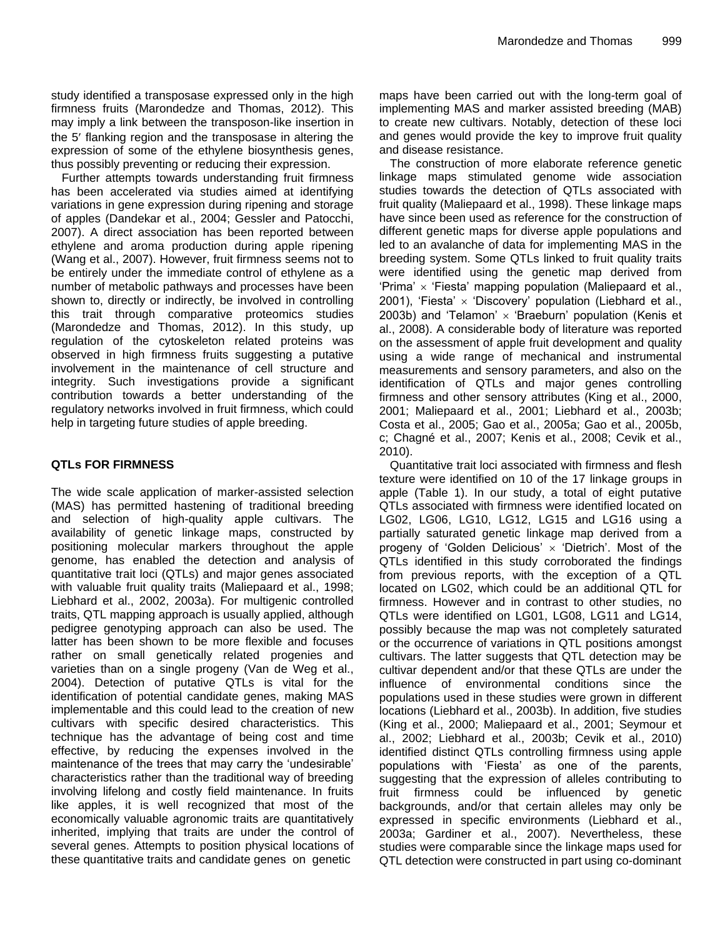study identified a transposase expressed only in the high firmness fruits (Marondedze and Thomas, 2012). This may imply a link between the transposon-like insertion in the 5' flanking region and the transposase in altering the expression of some of the ethylene biosynthesis genes, thus possibly preventing or reducing their expression.

Further attempts towards understanding fruit firmness has been accelerated via studies aimed at identifying variations in gene expression during ripening and storage of apples (Dandekar et al., 2004; Gessler and Patocchi, 2007). A direct association has been reported between ethylene and aroma production during apple ripening (Wang et al., 2007). However, fruit firmness seems not to be entirely under the immediate control of ethylene as a number of metabolic pathways and processes have been shown to, directly or indirectly, be involved in controlling this trait through comparative proteomics studies (Marondedze and Thomas, 2012). In this study, up regulation of the cytoskeleton related proteins was observed in high firmness fruits suggesting a putative involvement in the maintenance of cell structure and integrity. Such investigations provide a significant contribution towards a better understanding of the regulatory networks involved in fruit firmness, which could help in targeting future studies of apple breeding.

# **QTLs FOR FIRMNESS**

The wide scale application of marker-assisted selection (MAS) has permitted hastening of traditional breeding and selection of high-quality apple cultivars. The availability of genetic linkage maps, constructed by positioning molecular markers throughout the apple genome, has enabled the detection and analysis of quantitative trait loci (QTLs) and major genes associated with valuable fruit quality traits (Maliepaard et al., 1998; Liebhard et al., 2002, 2003a). For multigenic controlled traits, QTL mapping approach is usually applied, although pedigree genotyping approach can also be used. The latter has been shown to be more flexible and focuses rather on small genetically related progenies and varieties than on a single progeny (Van de Weg et al., 2004). Detection of putative QTLs is vital for the identification of potential candidate genes, making MAS implementable and this could lead to the creation of new cultivars with specific desired characteristics. This technique has the advantage of being cost and time effective, by reducing the expenses involved in the maintenance of the trees that may carry the 'undesirable' characteristics rather than the traditional way of breeding involving lifelong and costly field maintenance. In fruits like apples, it is well recognized that most of the economically valuable agronomic traits are quantitatively inherited, implying that traits are under the control of several genes. Attempts to position physical locations of these quantitative traits and candidate genes on genetic

maps have been carried out with the long-term goal of implementing MAS and marker assisted breeding (MAB) to create new cultivars. Notably, detection of these loci and genes would provide the key to improve fruit quality and disease resistance.

The construction of more elaborate reference genetic linkage maps stimulated genome wide association studies towards the detection of QTLs associated with fruit quality (Maliepaard et al., 1998). These linkage maps have since been used as reference for the construction of different genetic maps for diverse apple populations and led to an avalanche of data for implementing MAS in the breeding system. Some QTLs linked to fruit quality traits were identified using the genetic map derived from 'Prima'  $\times$  'Fiesta' mapping population (Maliepaard et al., 2001), 'Fiesta'  $\times$  'Discovery' population (Liebhard et al., 2003b) and 'Telamon'  $\times$  'Braeburn' population (Kenis et al., 2008). A considerable body of literature was reported on the assessment of apple fruit development and quality using a wide range of mechanical and instrumental measurements and sensory parameters, and also on the identification of QTLs and major genes controlling firmness and other sensory attributes (King et al., 2000, 2001; Maliepaard et al., 2001; Liebhard et al., 2003b; Costa et al., 2005; Gao et al., 2005a; Gao et al., 2005b, c; Chagné et al., 2007; Kenis et al., 2008; Cevik et al., 2010).

Quantitative trait loci associated with firmness and flesh texture were identified on 10 of the 17 linkage groups in apple (Table 1). In our study, a total of eight putative QTLs associated with firmness were identified located on LG02, LG06, LG10, LG12, LG15 and LG16 using a partially saturated genetic linkage map derived from a progeny of 'Golden Delicious'  $\times$  'Dietrich'. Most of the QTLs identified in this study corroborated the findings from previous reports, with the exception of a QTL located on LG02, which could be an additional QTL for firmness. However and in contrast to other studies, no QTLs were identified on LG01, LG08, LG11 and LG14, possibly because the map was not completely saturated or the occurrence of variations in QTL positions amongst cultivars. The latter suggests that QTL detection may be cultivar dependent and/or that these QTLs are under the influence of environmental conditions since the populations used in these studies were grown in different locations (Liebhard et al., 2003b). In addition, five studies (King et al., 2000; Maliepaard et al., 2001; Seymour et al., 2002; Liebhard et al., 2003b; Cevik et al., 2010) identified distinct QTLs controlling firmness using apple populations with 'Fiesta' as one of the parents, suggesting that the expression of alleles contributing to fruit firmness could be influenced by genetic backgrounds, and/or that certain alleles may only be expressed in specific environments (Liebhard et al., 2003a; Gardiner et al., 2007). Nevertheless, these studies were comparable since the linkage maps used for QTL detection were constructed in part using co-dominant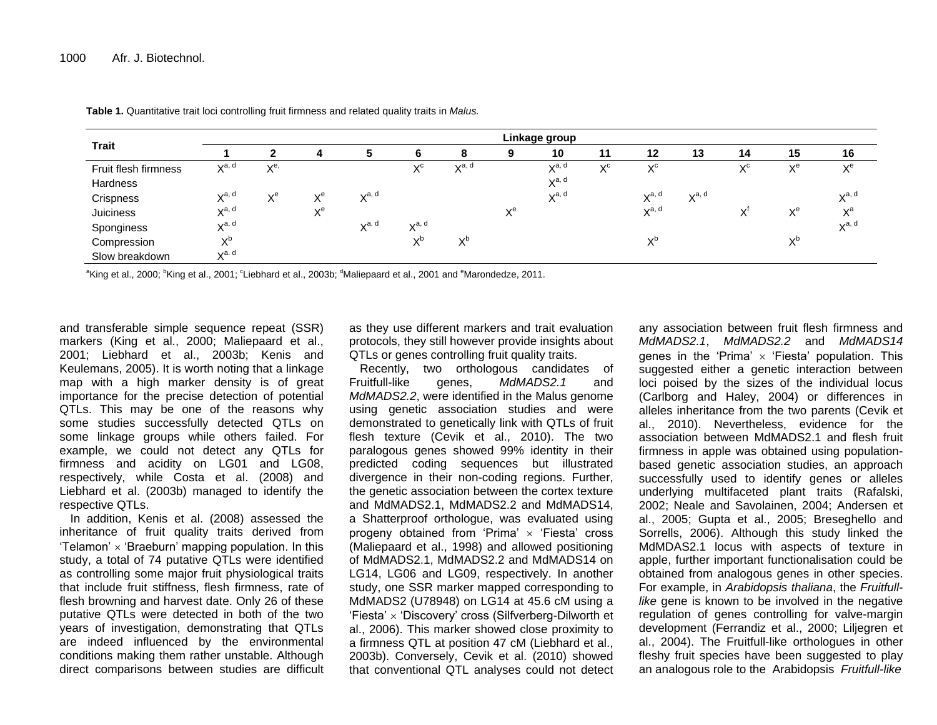| <b>Trait</b>         | Linkage group               |                                |                          |                             |                   |            |                          |                   |                     |                   |                             |                                |                    |            |
|----------------------|-----------------------------|--------------------------------|--------------------------|-----------------------------|-------------------|------------|--------------------------|-------------------|---------------------|-------------------|-----------------------------|--------------------------------|--------------------|------------|
|                      |                             |                                |                          |                             | 'n                | 8          | 9                        | 10                | 11                  | 12                | 13                          | 14                             | 15                 | 16         |
| Fruit flesh firmness | $\mathbf{v}$ a, d<br>$\sim$ | $\mathbf{v}^{\mathbf{e}}$<br>⌒ |                          |                             | $X^{\rm c}$       | $X^{a, d}$ |                          | $X^{a, d}$        | $\vee$ <sup>C</sup> | $X^{\rm c}$       |                             | $\mathbf{v}^{\mathsf{c}}$<br>∧ | $\vee$ e<br>$\sim$ | $X^e$      |
| Hardness             |                             |                                |                          |                             |                   |            |                          | $X^{a, d}$        |                     |                   |                             |                                |                    |            |
| Crispness            | $\mathbf{v}$ a, d           | $\vee$ e<br>⌒                  | $\mathbf{v}^e$<br>∧      | $\mathbf{v}$ a, d<br>$\sim$ |                   |            |                          | $\mathbf{v}$ a, d |                     | $\mathbf{v}$ a, d | $\mathbf{v}$ a, d<br>$\sim$ |                                |                    | $X^{a, d}$ |
| Juiciness            | $\mathbf{v}$ a, d<br>$\sim$ |                                | $\mathbf{v}^e$<br>$\sim$ |                             |                   |            | $\mathbf{v}^e$<br>$\sim$ |                   |                     | $\mathbf{v}$ a, d |                             | $\mathsf{v}$<br>⋏              | $\vee$ e<br>⌒      | $X^a$      |
| Sponginess           | $\mathbf{v}$ a, d           |                                |                          | $\mathbf{v}$ a, d<br>$\sim$ | $\mathbf{v}$ a, d |            |                          |                   |                     |                   |                             |                                |                    | $X^{a, d}$ |
| Compression          | vυ                          |                                |                          |                             | vD<br>⌒           | vD<br>⌒    |                          |                   |                     | V <sub>D</sub>    |                             |                                | <b>VD</b>          |            |
| Slow breakdown       | $\sqrt{a}$ . d<br>$\sim$    |                                |                          |                             |                   |            |                          |                   |                     |                   |                             |                                |                    |            |

**Table 1.** Quantitative trait loci controlling fruit firmness and related quality traits in *Malus.*

 $^{\rm a}$ King et al., 2000;  $^{\rm b}$ King et al., 2001;  $^{\rm c}$ Liebhard et al., 2003b;  $^{\rm d}$ Maliepaard et al., 2001 and  $^{\rm e}$ Marondedze, 2011.

and transferable simple sequence repeat (SSR) markers (King et al., 2000; Maliepaard et al., 2001; Liebhard et al., 2003b; Kenis and Keulemans, 2005). It is worth noting that a linkage map with a high marker density is of great importance for the precise detection of potential QTLs. This may be one of the reasons why some studies successfully detected QTLs on some linkage groups while others failed. For example, we could not detect any QTLs for firmness and acidity on LG01 and LG08, respectively, while Costa et al. (2008) and Liebhard et al. (2003b) managed to identify the respective QTLs.

In addition, Kenis et al. (2008) assessed the inheritance of fruit quality traits derived from 'Telamon'  $\times$  'Braeburn' mapping population. In this study, a total of 74 putative QTLs were identified as controlling some major fruit physiological traits that include fruit stiffness, flesh firmness, rate of flesh browning and harvest date. Only 26 of these putative QTLs were detected in both of the two years of investigation, demonstrating that QTLs are indeed influenced by the environmental conditions making them rather unstable. Although direct comparisons between studies are difficult as they use different markers and trait evaluation protocols, they still however provide insights about QTLs or genes controlling fruit quality traits.

Recently, two orthologous candidates of Fruitfull-like genes, *MdMADS2.1* and *MdMADS2.2*, were identified in the Malus genome using genetic association studies and were demonstrated to genetically link with QTLs of fruit flesh texture (Cevik et al., 2010). The two paralogous genes showed 99% identity in their predicted coding sequences but illustrated divergence in their non-coding regions. Further, the genetic association between the cortex texture and MdMADS2.1, MdMADS2.2 and MdMADS14, a Shatterproof orthologue, was evaluated using progeny obtained from 'Prima'  $\times$  'Fiesta' cross (Maliepaard et al., 1998) and allowed positioning of MdMADS2.1, MdMADS2.2 and MdMADS14 on LG14, LG06 and LG09, respectively. In another study, one SSR marker mapped corresponding to MdMADS2 (U78948) on LG14 at 45.6 cM using a 'Fiesta' 'Discovery' cross (Silfverberg-Dilworth et al., 2006). This marker showed close proximity to a firmness QTL at position 47 cM (Liebhard et al., 2003b). Conversely, Cevik et al. (2010) showed that conventional QTL analyses could not detect

any association between fruit flesh firmness and *MdMADS2.1*, *MdMADS2.2* and *MdMADS14* genes in the 'Prima'  $\times$  'Fiesta' population. This suggested either a genetic interaction between loci poised by the sizes of the individual locus (Carlborg and Haley, 2004) or differences in alleles inheritance from the two parents (Cevik et al., 2010). Nevertheless, evidence for the association between MdMADS2.1 and flesh fruit firmness in apple was obtained using populationbased genetic association studies, an approach successfully used to identify genes or alleles underlying multifaceted plant traits (Rafalski, 2002; Neale and Savolainen, 2004; Andersen et al., 2005; Gupta et al., 2005; Breseghello and Sorrells, 2006). Although this study linked the MdMDAS2.1 locus with aspects of texture in apple, further important functionalisation could be obtained from analogous genes in other species. For example, in *Arabidopsis thaliana*, the *Fruitfulllike* gene is known to be involved in the negative regulation of genes controlling for valve-margin development (Ferrandiz et al., 2000; Liljegren et al., 2004). The Fruitfull-like orthologues in other fleshy fruit species have been suggested to play an analogous role to the Arabidopsis *Fruitfull-like*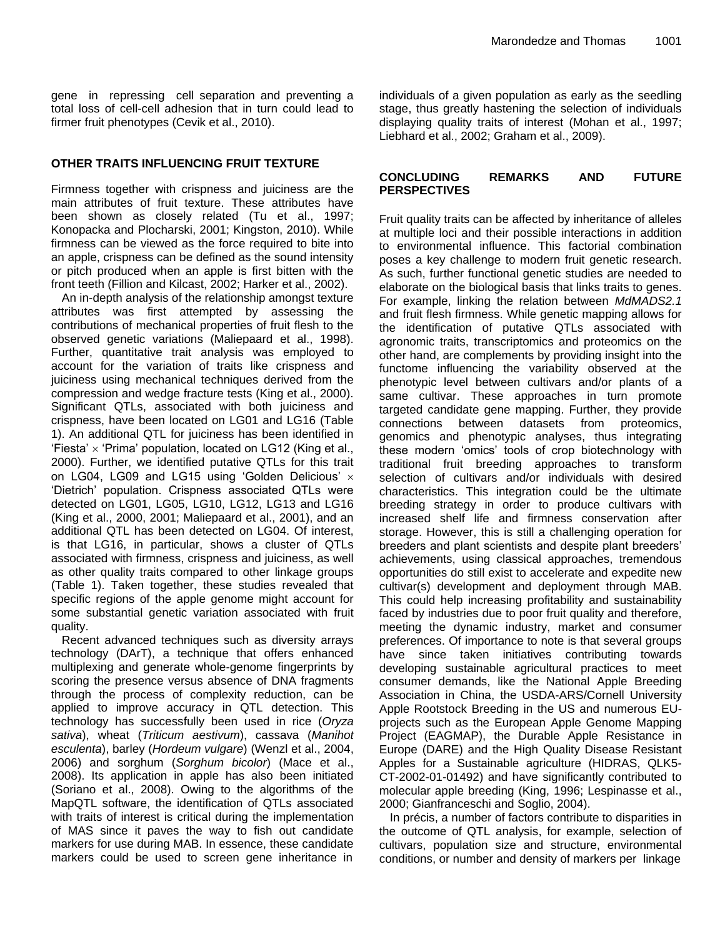gene in repressing cell separation and preventing a total loss of cell-cell adhesion that in turn could lead to firmer fruit phenotypes (Cevik et al., 2010).

#### **OTHER TRAITS INFLUENCING FRUIT TEXTURE**

Firmness together with crispness and juiciness are the main attributes of fruit texture. These attributes have been shown as closely related (Tu et al., 1997; Konopacka and Plocharski, 2001; Kingston, 2010). While firmness can be viewed as the force required to bite into an apple, crispness can be defined as the sound intensity or pitch produced when an apple is first bitten with the front teeth (Fillion and Kilcast, 2002; Harker et al., 2002).

An in-depth analysis of the relationship amongst texture attributes was first attempted by assessing the contributions of mechanical properties of fruit flesh to the observed genetic variations (Maliepaard et al., 1998). Further, quantitative trait analysis was employed to account for the variation of traits like crispness and juiciness using mechanical techniques derived from the compression and wedge fracture tests (King et al., 2000). Significant QTLs, associated with both juiciness and crispness, have been located on LG01 and LG16 (Table 1). An additional QTL for juiciness has been identified in 'Fiesta'  $\times$  'Prima' population, located on LG12 (King et al., 2000). Further, we identified putative QTLs for this trait on LG04, LG09 and LG15 using 'Golden Delicious'  $\times$ 'Dietrich' population. Crispness associated QTLs were detected on LG01, LG05, LG10, LG12, LG13 and LG16 (King et al., 2000, 2001; Maliepaard et al., 2001), and an additional QTL has been detected on LG04. Of interest, is that LG16, in particular, shows a cluster of QTLs associated with firmness, crispness and juiciness, as well as other quality traits compared to other linkage groups (Table 1). Taken together, these studies revealed that specific regions of the apple genome might account for some substantial genetic variation associated with fruit quality.

Recent advanced techniques such as diversity arrays technology (DArT), a technique that offers enhanced multiplexing and generate whole-genome fingerprints by scoring the presence versus absence of DNA fragments through the process of complexity reduction, can be applied to improve accuracy in QTL detection. This technology has successfully been used in rice (*Oryza sativa*), wheat (*Triticum aestivum*), cassava (*Manihot esculenta*), barley (*Hordeum vulgare*) (Wenzl et al., 2004, 2006) and sorghum (*Sorghum bicolor*) (Mace et al., 2008). Its application in apple has also been initiated (Soriano et al., 2008). Owing to the algorithms of the MapQTL software, the identification of QTLs associated with traits of interest is critical during the implementation of MAS since it paves the way to fish out candidate markers for use during MAB. In essence, these candidate markers could be used to screen gene inheritance in

individuals of a given population as early as the seedling stage, thus greatly hastening the selection of individuals displaying quality traits of interest (Mohan et al., 1997; Liebhard et al., 2002; Graham et al., 2009).

#### **CONCLUDING REMARKS AND FUTURE PERSPECTIVES**

Fruit quality traits can be affected by inheritance of alleles at multiple loci and their possible interactions in addition to environmental influence. This factorial combination poses a key challenge to modern fruit genetic research. As such, further functional genetic studies are needed to elaborate on the biological basis that links traits to genes. For example, linking the relation between *MdMADS2.1* and fruit flesh firmness. While genetic mapping allows for the identification of putative QTLs associated with agronomic traits, transcriptomics and proteomics on the other hand, are complements by providing insight into the functome influencing the variability observed at the phenotypic level between cultivars and/or plants of a same cultivar. These approaches in turn promote targeted candidate gene mapping. Further, they provide connections between datasets from proteomics, genomics and phenotypic analyses, thus integrating these modern 'omics' tools of crop biotechnology with traditional fruit breeding approaches to transform selection of cultivars and/or individuals with desired characteristics. This integration could be the ultimate breeding strategy in order to produce cultivars with increased shelf life and firmness conservation after storage. However, this is still a challenging operation for breeders and plant scientists and despite plant breeders' achievements, using classical approaches, tremendous opportunities do still exist to accelerate and expedite new cultivar(s) development and deployment through MAB. This could help increasing profitability and sustainability faced by industries due to poor fruit quality and therefore, meeting the dynamic industry, market and consumer preferences. Of importance to note is that several groups have since taken initiatives contributing towards developing sustainable agricultural practices to meet consumer demands, like the National Apple Breeding Association in China, the USDA-ARS/Cornell University Apple Rootstock Breeding in the US and numerous EUprojects such as the European Apple Genome Mapping Project (EAGMAP), the Durable Apple Resistance in Europe (DARE) and the High Quality Disease Resistant Apples for a Sustainable agriculture (HIDRAS, QLK5- CT-2002-01-01492) and have significantly contributed to molecular apple breeding (King, 1996; Lespinasse et al., 2000; Gianfranceschi and Soglio, 2004).

In précis, a number of factors contribute to disparities in the outcome of QTL analysis, for example, selection of cultivars, population size and structure, environmental conditions, or number and density of markers per linkage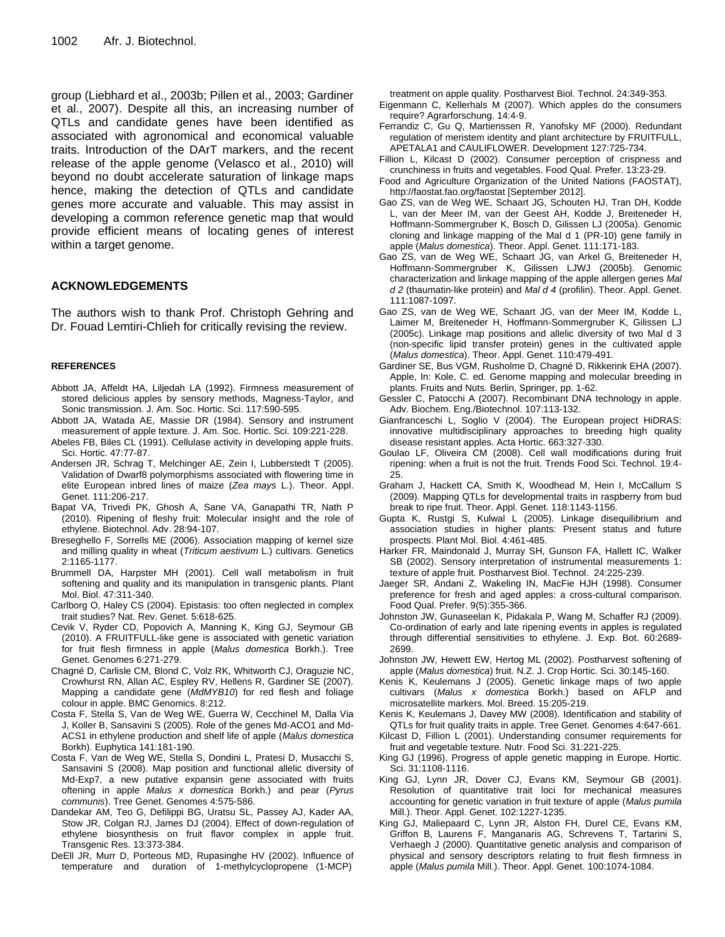group (Liebhard et al., 2003b; Pillen et al., 2003; Gardiner et al., 2007). Despite all this, an increasing number of QTLs and candidate genes have been identified as associated with agronomical and economical valuable traits. Introduction of the DArT markers, and the recent release of the apple genome (Velasco et al., 2010) will beyond no doubt accelerate saturation of linkage maps hence, making the detection of QTLs and candidate genes more accurate and valuable. This may assist in developing a common reference genetic map that would provide efficient means of locating genes of interest within a target genome.

#### **ACKNOWLEDGEMENTS**

The authors wish to thank Prof. Christoph Gehring and Dr. Fouad Lemtiri-Chlieh for critically revising the review.

#### **REFERENCES**

- Abbott JA, Affeldt HA, Liljedah LA (1992). Firmness measurement of stored delicious apples by sensory methods, Magness-Taylor, and Sonic transmission. J. Am. Soc. Hortic. Sci. 117:590-595.
- Abbott JA, Watada AE, Massie DR (1984). Sensory and instrument measurement of apple texture. J. Am. Soc. Hortic. Sci. 109:221-228.
- Abeles FB, Biles CL (1991). Cellulase activity in developing apple fruits. Sci. Hortic. 47:77-87.
- Andersen JR, Schrag T, Melchinger AE, Zein I, Lubberstedt T (2005). Validation of Dwarf8 polymorphisms associated with flowering time in elite European inbred lines of maize (*Zea mays* L.). Theor. Appl. Genet. 111:206-217.
- Bapat VA, Trivedi PK, Ghosh A, Sane VA, Ganapathi TR, Nath P (2010). Ripening of fleshy fruit: Molecular insight and the role of ethylene. Biotechnol. Adv. 28:94-107.
- Breseghello F, Sorrells ME (2006). Association mapping of kernel size and milling quality in wheat (*Triticum aestivum* L.) cultivars. Genetics 2:1165-1177.
- Brummell DA, Harpster MH (2001). Cell wall metabolism in fruit softening and quality and its manipulation in transgenic plants. Plant Mol. Biol. 47:311-340.
- Carlborg O, Haley CS (2004). Epistasis: too often neglected in complex trait studies? Nat. Rev. Genet. 5:618-625.
- Cevik V, Ryder CD, Popovich A, Manning K, King GJ, Seymour GB (2010). A FRUITFULL-like gene is associated with genetic variation for fruit flesh firmness in apple (*Malus domestica* Borkh.). Tree Genet. Genomes 6:271-279.
- Chagné D, Carlisle CM, Blond C, Volz RK, Whitworth CJ, Oraguzie NC, Crowhurst RN, Allan AC, Espley RV, Hellens R, Gardiner SE (2007). Mapping a candidate gene (*MdMYB10*) for red flesh and foliage colour in apple. BMC Genomics. 8:212.
- Costa F, Stella S, Van de Weg WE, Guerra W, Cecchinel M, Dalla Via J, Koller B, Sansavini S (2005). Role of the genes Md-ACO1 and Md-ACS1 in ethylene production and shelf life of apple (*Malus domestica* Borkh). Euphytica 141:181-190.
- Costa F, Van de Weg WE, Stella S, Dondini L, Pratesi D, Musacchi S, Sansavini S (2008). Map position and functional allelic diversity of Md-Exp7, a new putative expansin gene associated with fruits oftening in apple *Malus x domestica* Borkh.) and pear (*Pyrus communis*). Tree Genet. Genomes 4:575-586.
- Dandekar AM, Teo G, Defilippi BG, Uratsu SL, Passey AJ, Kader AA, Stow JR, Colgan RJ, James DJ (2004). Effect of down-regulation of ethylene biosynthesis on fruit flavor complex in apple fruit. Transgenic Res. 13:373-384.
- DeEll JR, Murr D, Porteous MD, Rupasinghe HV (2002). Influence of temperature and duration of 1-methylcyclopropene (1-MCP)

treatment on apple quality. Postharvest Biol. Technol. 24:349-353.

- Eigenmann C, Kellerhals M (2007). Which apples do the consumers require? Agrarforschung. 14:4-9.
- Ferrandiz C, Gu Q, Martienssen R, Yanofsky MF (2000). Redundant regulation of meristem identity and plant architecture by FRUITFULL, APETALA1 and CAULIFLOWER. Development 127:725-734.
- Fillion L, Kilcast D (2002). Consumer perception of crispness and crunchiness in fruits and vegetables. Food Qual. Prefer. 13:23-29.
- Food and Agriculture Organization of the United Nations (FAOSTAT), http://faostat.fao.org/faostat [September 2012].
- Gao ZS, van de Weg WE, Schaart JG, Schouten HJ, Tran DH, Kodde L, van der Meer IM, van der Geest AH, Kodde J, Breiteneder H, Hoffmann-Sommergruber K, Bosch D, Gilissen LJ (2005a). Genomic cloning and linkage mapping of the Mal d 1 (PR-10) gene family in apple (*Malus domestica*). Theor. Appl. Genet. 111:171-183.
- Gao ZS, van de Weg WE, Schaart JG, van Arkel G, Breiteneder H, Hoffmann-Sommergruber K, Gilissen LJWJ (2005b). Genomic characterization and linkage mapping of the apple allergen genes *Mal d 2* (thaumatin-like protein) and *Mal d 4* (profilin). Theor. Appl. Genet. 111:1087-1097.
- Gao ZS, van de Weg WE, Schaart JG, van der Meer IM, Kodde L, Laimer M, Breiteneder H, Hoffmann-Sommergruber K, Gilissen LJ (2005c). Linkage map positions and allelic diversity of two Mal d 3 (non-specific lipid transfer protein) genes in the cultivated apple (*Malus domestica*). Theor. Appl. Genet. 110:479-491.
- Gardiner SE, Bus VGM, Rusholme D, Chagné D, Rikkerink EHA (2007). Apple, In: Kole, C. ed. Genome mapping and molecular breeding in plants. Fruits and Nuts. Berlin, Springer, pp. 1-62.
- Gessler C, Patocchi A (2007). Recombinant DNA technology in apple. Adv. Biochem. Eng./Biotechnol. 107:113-132.
- Gianfranceschi L, Soglio V (2004). The European project HiDRAS: innovative multidisciplinary approaches to breeding high quality disease resistant apples. Acta Hortic. 663:327-330.
- Goulao LF, Oliveira CM (2008). Cell wall modifications during fruit ripening: when a fruit is not the fruit. Trends Food Sci. Technol. 19:4- 25.
- Graham J, Hackett CA, Smith K, Woodhead M, Hein I, McCallum S (2009). Mapping QTLs for developmental traits in raspberry from bud break to ripe fruit. Theor. Appl. Genet. 118:1143-1156.
- Gupta K, Rustgi S, Kulwal L (2005). Linkage disequilibrium and association studies in higher plants: Present status and future prospects. Plant Mol. Biol. 4:461-485.
- Harker FR, Maindonald J, Murray SH, Gunson FA, Hallett IC, Walker SB (2002). Sensory interpretation of instrumental measurements 1: texture of apple fruit. Postharvest Biol. Technol. 24:225-239.
- Jaeger SR, Andani Z, Wakeling IN, MacFie HJH (1998). Consumer preference for fresh and aged apples: a cross-cultural comparison. Food Qual. Prefer. 9(5):355-366.
- Johnston JW, Gunaseelan K, Pidakala P, Wang M, Schaffer RJ (2009). Co-ordination of early and late ripening events in apples is regulated through differential sensitivities to ethylene. J. Exp. Bot. 60:2689- 2699.
- Johnston JW, Hewett EW, Hertog ML (2002). Postharvest softening of apple (*Malus domestica*) fruit. N.Z. J. Crop Hortic. Sci. 30:145-160.
- Kenis K, Keulemans J (2005). Genetic linkage maps of two apple cultivars (*Malus x domestica* Borkh.) based on AFLP and microsatellite markers. Mol. Breed. 15:205-219.
- Kenis K, Keulemans J, Davey MW (2008). Identification and stability of QTLs for fruit quality traits in apple. Tree Genet. Genomes 4:647-661.
- Kilcast D, Fillion L (2001). Understanding consumer requirements for fruit and vegetable texture. Nutr. Food Sci. 31:221-225.
- King GJ (1996). Progress of apple genetic mapping in Europe. Hortic. Sci. 31:1108-1116.
- King GJ, Lynn JR, Dover CJ, Evans KM, Seymour GB (2001). Resolution of quantitative trait loci for mechanical measures accounting for genetic variation in fruit texture of apple (*Malus pumila* Mill.). Theor. Appl. Genet. 102:1227-1235.
- King GJ, Maliepaard C, Lynn JR, Alston FH, Durel CE, Evans KM, Griffon B, Laurens F, Manganaris AG, Schrevens T, Tartarini S, Verhaegh J (2000). Quantitative genetic analysis and comparison of physical and sensory descriptors relating to fruit flesh firmness in apple (*Malus pumila* Mill.). Theor. Appl. Genet. 100:1074-1084.